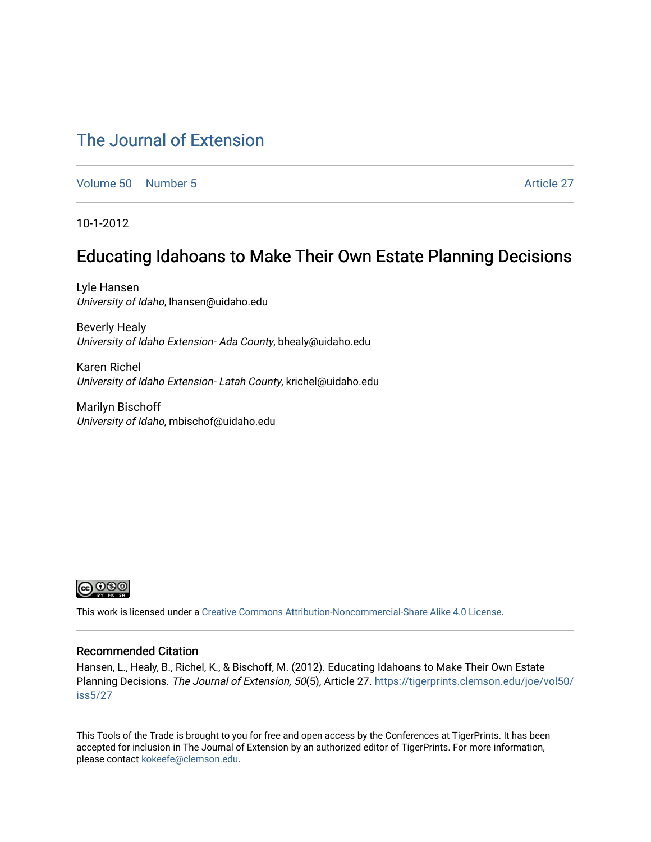# [The Journal of Extension](https://tigerprints.clemson.edu/joe)

[Volume 50](https://tigerprints.clemson.edu/joe/vol50) [Number 5](https://tigerprints.clemson.edu/joe/vol50/iss5) Article 27

10-1-2012

## Educating Idahoans to Make Their Own Estate Planning Decisions

Lyle Hansen University of Idaho, lhansen@uidaho.edu

Beverly Healy University of Idaho Extension- Ada County, bhealy@uidaho.edu

Karen Richel University of Idaho Extension- Latah County, krichel@uidaho.edu

Marilyn Bischoff University of Idaho, mbischof@uidaho.edu



This work is licensed under a [Creative Commons Attribution-Noncommercial-Share Alike 4.0 License.](https://creativecommons.org/licenses/by-nc-sa/4.0/)

#### Recommended Citation

Hansen, L., Healy, B., Richel, K., & Bischoff, M. (2012). Educating Idahoans to Make Their Own Estate Planning Decisions. The Journal of Extension, 50(5), Article 27. [https://tigerprints.clemson.edu/joe/vol50/](https://tigerprints.clemson.edu/joe/vol50/iss5/27) [iss5/27](https://tigerprints.clemson.edu/joe/vol50/iss5/27) 

This Tools of the Trade is brought to you for free and open access by the Conferences at TigerPrints. It has been accepted for inclusion in The Journal of Extension by an authorized editor of TigerPrints. For more information, please contact [kokeefe@clemson.edu](mailto:kokeefe@clemson.edu).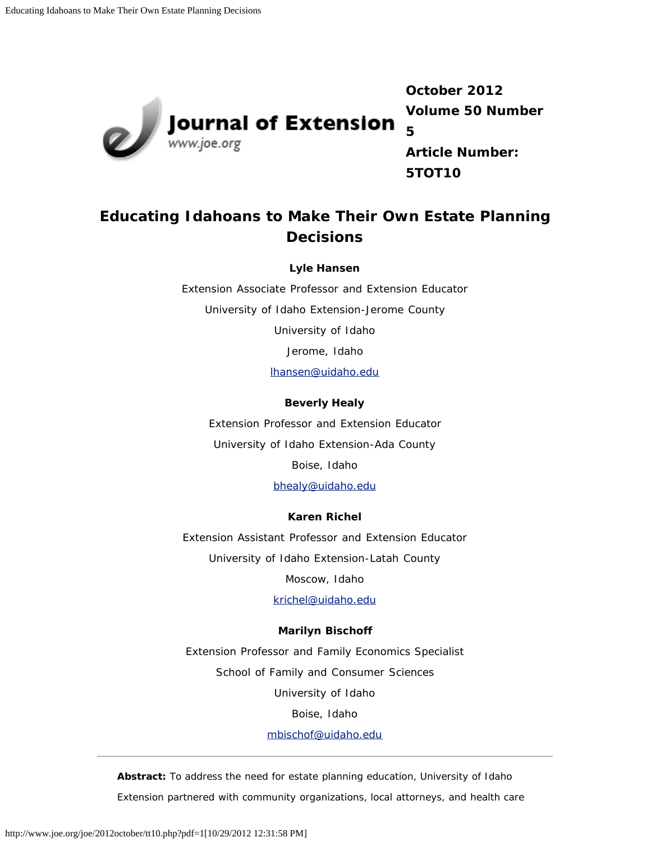

**October 2012 Volume 50 Number 5 Article Number:**

**5TOT10**

## **Educating Idahoans to Make Their Own Estate Planning Decisions**

**Lyle Hansen**

Extension Associate Professor and Extension Educator University of Idaho Extension-Jerome County University of Idaho Jerome, Idaho [lhansen@uidaho.edu](mailto:lhansen@uidaho.edu)

### **Beverly Healy**

Extension Professor and Extension Educator University of Idaho Extension-Ada County Boise, Idaho

[bhealy@uidaho.edu](mailto:bhealy@uidaho.edu)

### **Karen Richel**

Extension Assistant Professor and Extension Educator University of Idaho Extension-Latah County Moscow, Idaho

[krichel@uidaho.edu](mailto:krichel@uidaho.edu)

#### **Marilyn Bischoff**

Extension Professor and Family Economics Specialist School of Family and Consumer Sciences University of Idaho Boise, Idaho

[mbischof@uidaho.edu](mailto:mbischof@uidaho.edu)

*Abstract: To address the need for estate planning education, University of Idaho Extension partnered with community organizations, local attorneys, and health care*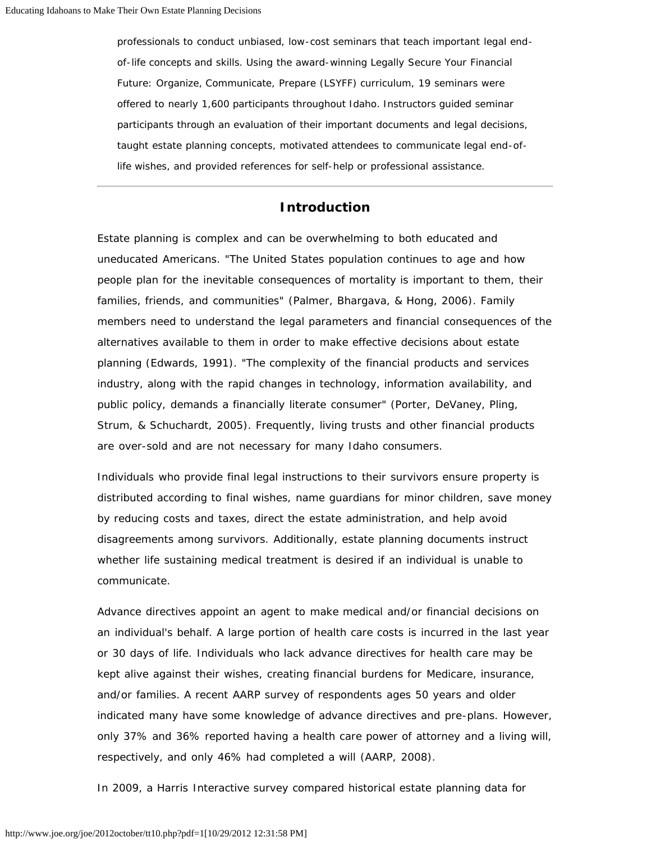*professionals to conduct unbiased, low-cost seminars that teach important legal endof-life concepts and skills. Using the award-winning Legally Secure Your Financial Future: Organize, Communicate, Prepare (LSYFF) curriculum, 19 seminars were offered to nearly 1,600 participants throughout Idaho. Instructors guided seminar participants through an evaluation of their important documents and legal decisions, taught estate planning concepts, motivated attendees to communicate legal end-oflife wishes, and provided references for self-help or professional assistance.*

## **Introduction**

Estate planning is complex and can be overwhelming to both educated and uneducated Americans. "The United States population continues to age and how people plan for the inevitable consequences of mortality is important to them, their families, friends, and communities" (Palmer, Bhargava, & Hong, 2006). Family members need to understand the legal parameters and financial consequences of the alternatives available to them in order to make effective decisions about estate planning (Edwards, 1991). "The complexity of the financial products and services industry, along with the rapid changes in technology, information availability, and public policy, demands a financially literate consumer" (Porter, DeVaney, Pling, Strum, & Schuchardt, 2005). Frequently, living trusts and other financial products are over-sold and are not necessary for many Idaho consumers.

Individuals who provide final legal instructions to their survivors ensure property is distributed according to final wishes, name guardians for minor children, save money by reducing costs and taxes, direct the estate administration, and help avoid disagreements among survivors. Additionally, estate planning documents instruct whether life sustaining medical treatment is desired if an individual is unable to communicate.

Advance directives appoint an agent to make medical and/or financial decisions on an individual's behalf. A large portion of health care costs is incurred in the last year or 30 days of life. Individuals who lack advance directives for health care may be kept alive against their wishes, creating financial burdens for Medicare, insurance, and/or families. A recent AARP survey of respondents ages 50 years and older indicated many have some knowledge of advance directives and pre-plans. However, only 37% and 36% reported having a health care power of attorney and a living will, respectively, and only 46% had completed a will (AARP, 2008).

In 2009, a Harris Interactive survey compared historical estate planning data for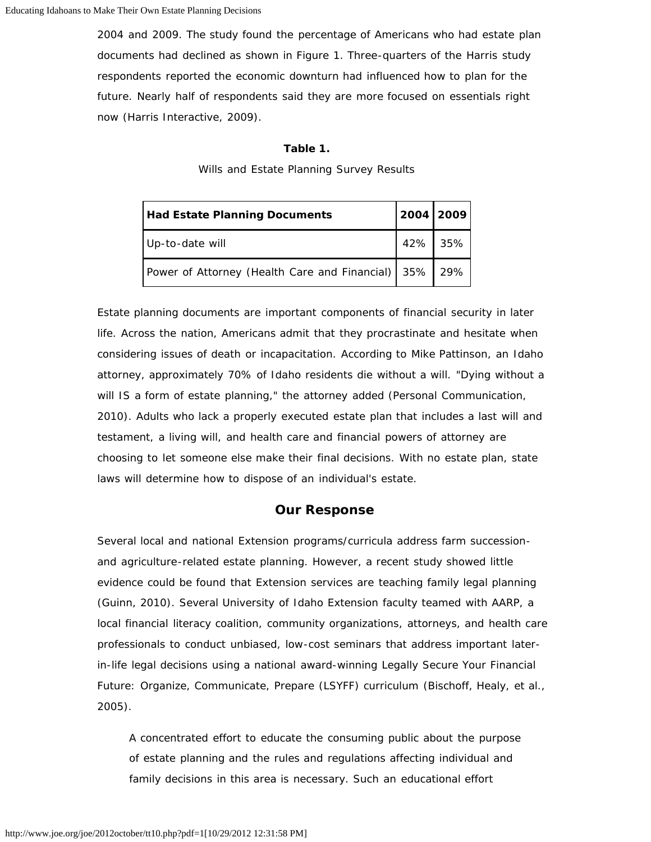2004 and 2009. The study found the percentage of Americans who had estate plan documents had declined as shown in Figure 1. Three-quarters of the Harris study respondents reported the economic downturn had influenced how to plan for the future. Nearly half of respondents said they are more focused on essentials right now (Harris Interactive, 2009).

#### **Table 1.**

Wills and Estate Planning Survey Results

| <b>Had Estate Planning Documents</b>                  | 2004 2009 |  |
|-------------------------------------------------------|-----------|--|
| Up-to-date will                                       | 42% 35%   |  |
| Power of Attorney (Health Care and Financial) 35% 29% |           |  |

Estate planning documents are important components of financial security in later life. Across the nation, Americans admit that they procrastinate and hesitate when considering issues of death or incapacitation. According to Mike Pattinson, an Idaho attorney, approximately 70% of Idaho residents die without a will. "Dying without a will IS a form of estate planning," the attorney added (Personal Communication, 2010). Adults who lack a properly executed estate plan that includes a last will and testament, a living will, and health care and financial powers of attorney are choosing to let someone else make their final decisions. With no estate plan, state laws will determine how to dispose of an individual's estate.

### **Our Response**

Several local and national Extension programs/curricula address farm successionand agriculture-related estate planning. However, a recent study showed little evidence could be found that Extension services are teaching family legal planning (Guinn, 2010). Several University of Idaho Extension faculty teamed with AARP, a local financial literacy coalition, community organizations, attorneys, and health care professionals to conduct unbiased, low-cost seminars that address important laterin-life legal decisions using a national award-winning Legally Secure Your Financial Future: Organize, Communicate, Prepare (LSYFF) curriculum (Bischoff, Healy, et al., 2005).

A concentrated effort to educate the consuming public about the purpose of estate planning and the rules and regulations affecting individual and family decisions in this area is necessary. Such an educational effort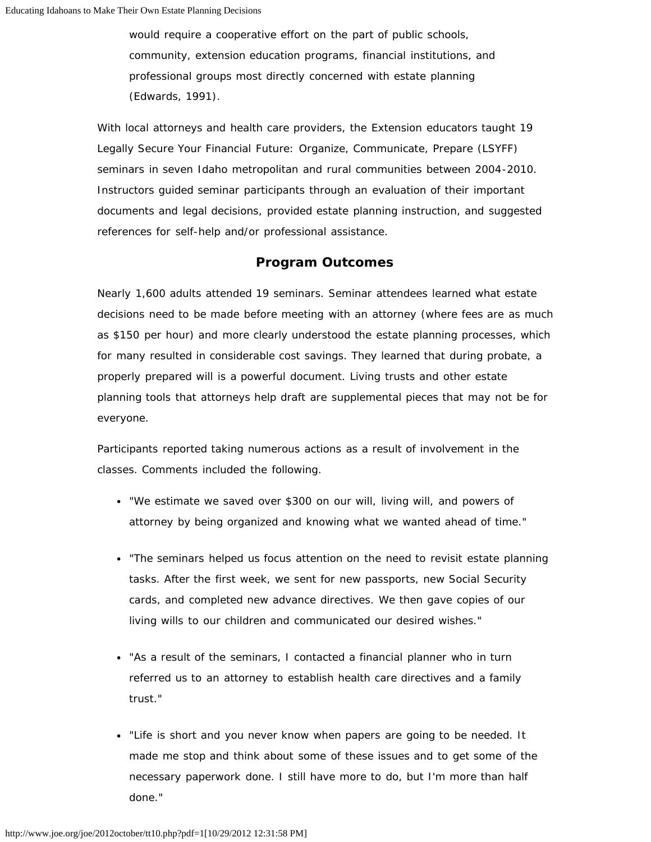would require a cooperative effort on the part of public schools, community, extension education programs, financial institutions, and professional groups most directly concerned with estate planning (Edwards, 1991).

With local attorneys and health care providers, the Extension educators taught 19 Legally Secure Your Financial Future: Organize, Communicate, Prepare (LSYFF) seminars in seven Idaho metropolitan and rural communities between 2004-2010. Instructors guided seminar participants through an evaluation of their important documents and legal decisions, provided estate planning instruction, and suggested references for self-help and/or professional assistance.

## **Program Outcomes**

Nearly 1,600 adults attended 19 seminars. Seminar attendees learned what estate decisions need to be made before meeting with an attorney (where fees are as much as \$150 per hour) and more clearly understood the estate planning processes, which for many resulted in considerable cost savings. They learned that during probate, a properly prepared will is a powerful document. Living trusts and other estate planning tools that attorneys help draft are supplemental pieces that may not be for everyone.

Participants reported taking numerous actions as a result of involvement in the classes. Comments included the following.

- "We estimate we saved over \$300 on our will, living will, and powers of attorney by being organized and knowing what we wanted ahead of time."
- "The seminars helped us focus attention on the need to revisit estate planning tasks. After the first week, we sent for new passports, new Social Security cards, and completed new advance directives. We then gave copies of our living wills to our children and communicated our desired wishes."
- "As a result of the seminars, I contacted a financial planner who in turn referred us to an attorney to establish health care directives and a family trust."
- "Life is short and you never know when papers are going to be needed. It made me stop and think about some of these issues and to get some of the necessary paperwork done. I still have more to do, but I'm more than half done."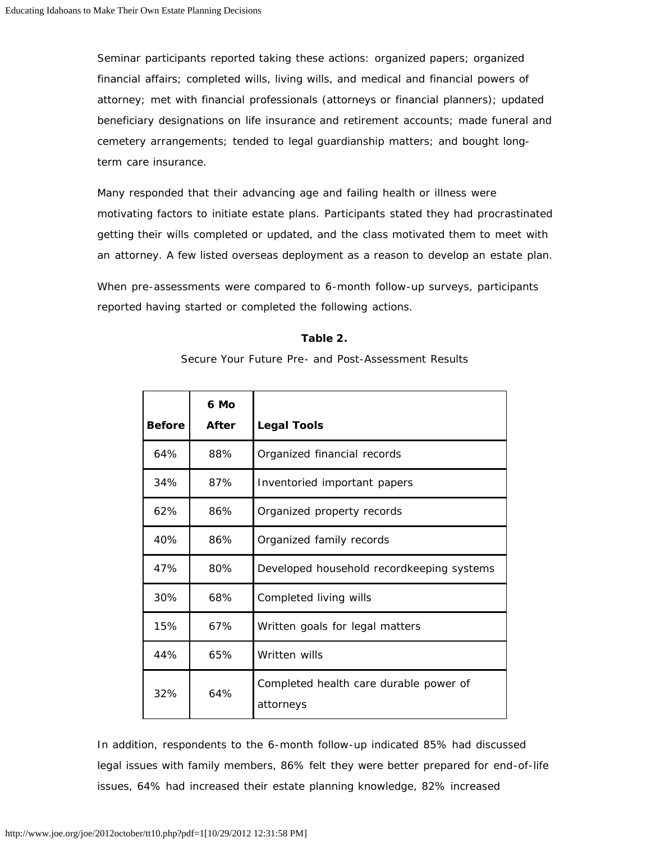Seminar participants reported taking these actions: organized papers; organized financial affairs; completed wills, living wills, and medical and financial powers of attorney; met with financial professionals (attorneys or financial planners); updated beneficiary designations on life insurance and retirement accounts; made funeral and cemetery arrangements; tended to legal guardianship matters; and bought longterm care insurance.

Many responded that their advancing age and failing health or illness were motivating factors to initiate estate plans. Participants stated they had procrastinated getting their wills completed or updated, and the class motivated them to meet with an attorney. A few listed overseas deployment as a reason to develop an estate plan.

When pre-assessments were compared to 6-month follow-up surveys, participants reported having started or completed the following actions.

#### **Table 2.**

Secure Your Future Pre- and Post-Assessment Results

| <b>Before</b> | 6 Mo<br><b>After</b> | <b>Legal Tools</b>                                  |
|---------------|----------------------|-----------------------------------------------------|
| 64%           | 88%                  | Organized financial records                         |
| 34%           | 87%                  | Inventoried important papers                        |
| 62%           | 86%                  | Organized property records                          |
| 40%           | 86%                  | Organized family records                            |
| 47%           | 80%                  | Developed household recordkeeping systems           |
| 30%           | 68%                  | Completed living wills                              |
| 15%           | 67%                  | Written goals for legal matters                     |
| 44%           | 65%                  | Written wills                                       |
| 32%           | 64%                  | Completed health care durable power of<br>attorneys |

In addition, respondents to the 6-month follow-up indicated 85% had discussed legal issues with family members, 86% felt they were better prepared for end-of-life issues, 64% had increased their estate planning knowledge, 82% increased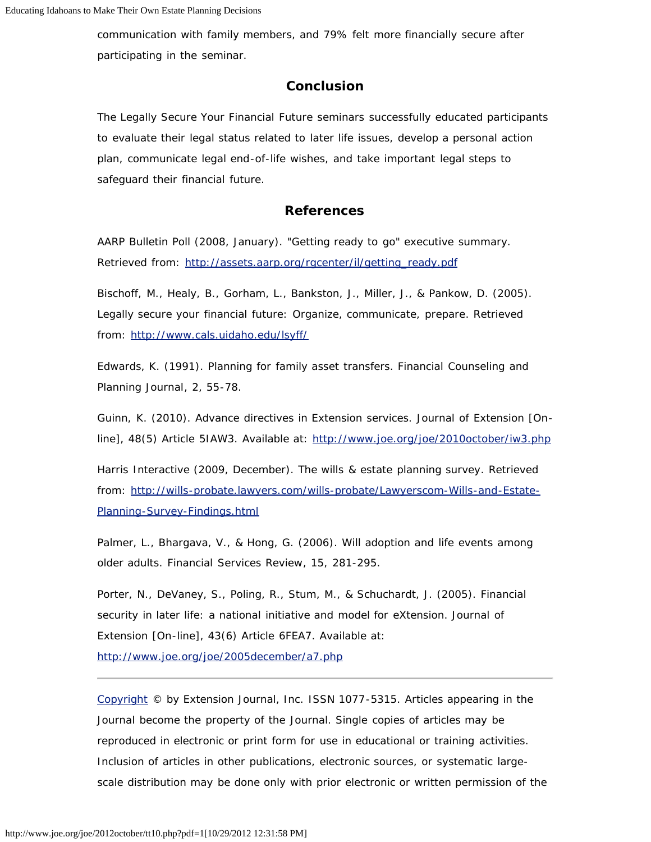communication with family members, and 79% felt more financially secure after participating in the seminar.

## **Conclusion**

The Legally Secure Your Financial Future seminars successfully educated participants to evaluate their legal status related to later life issues, develop a personal action plan, communicate legal end-of-life wishes, and take important legal steps to safeguard their financial future.

#### **References**

AARP Bulletin Poll (2008, January). "Getting ready to go" executive summary. Retrieved from: [http://assets.aarp.org/rgcenter/il/getting\\_ready.pdf](http://assets.aarp.org/rgcenter/il/getting_ready.pdf)

Bischoff, M., Healy, B., Gorham, L., Bankston, J., Miller, J., & Pankow, D. (2005). *Legally secure your financial future: Organize, communicate, prepare*. Retrieved from: <http://www.cals.uidaho.edu/lsyff/>

Edwards, K. (1991). Planning for family asset transfers. *Financial Counseling and Planning Journal*, 2, 55-78.

Guinn, K. (2010). Advance directives in Extension services. *Journal of Extension* [Online], 48(5) Article 5IAW3. Available at: <http://www.joe.org/joe/2010october/iw3.php>

Harris Interactive (2009, December). *The wills & estate planning survey*. Retrieved from: [http://wills-probate.lawyers.com/wills-probate/Lawyerscom-Wills-and-Estate-](http://wills-probate.lawyers.com/wills-probate/Lawyerscom-Wills-and-Estate-Planning-Survey-Findings.html)[Planning-Survey-Findings.html](http://wills-probate.lawyers.com/wills-probate/Lawyerscom-Wills-and-Estate-Planning-Survey-Findings.html)

Palmer, L., Bhargava, V., & Hong, G. (2006). Will adoption and life events among older adults. *Financial Services Review*, 15, 281-295.

Porter, N., DeVaney, S., Poling, R., Stum, M., & Schuchardt, J. (2005). Financial security in later life: a national initiative and model for eXtension. *Journal of Extension* [On-line], 43(6) Article 6FEA7. Available at:

<http://www.joe.org/joe/2005december/a7.php>

*[Copyright](http://www.joe.org/about-joe-copyright-policy.php) © by Extension Journal, Inc.* ISSN 1077-5315. Articles appearing in the Journal become the property of the Journal. Single copies of articles may be reproduced in electronic or print form for use in educational or training activities. Inclusion of articles in other publications, electronic sources, or systematic largescale distribution may be done only with prior electronic or written permission of the